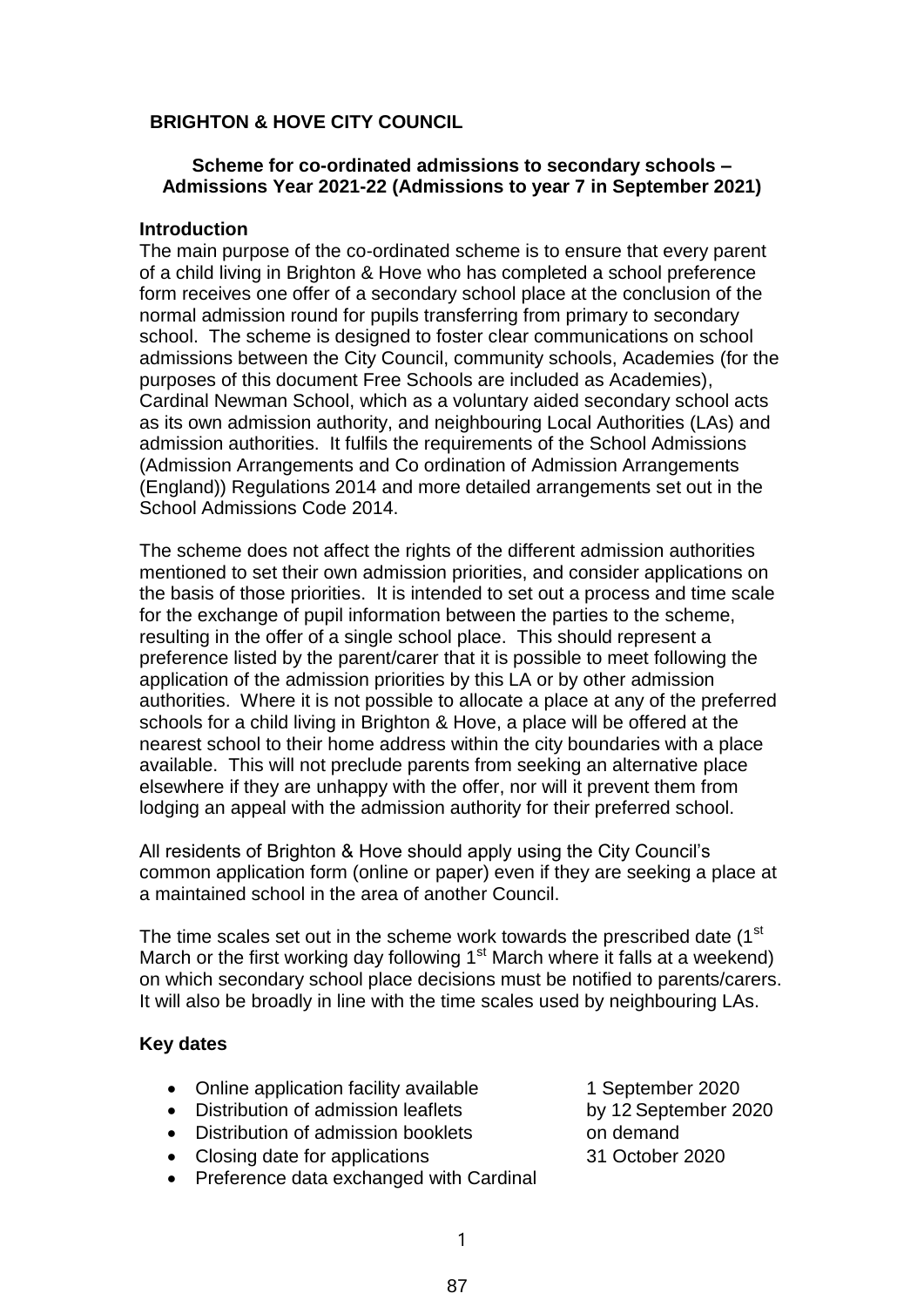## **BRIGHTON & HOVE CITY COUNCIL**

### **Scheme for co-ordinated admissions to secondary schools – Admissions Year 2021-22 (Admissions to year 7 in September 2021)**

### **Introduction**

The main purpose of the co-ordinated scheme is to ensure that every parent of a child living in Brighton & Hove who has completed a school preference form receives one offer of a secondary school place at the conclusion of the normal admission round for pupils transferring from primary to secondary school. The scheme is designed to foster clear communications on school admissions between the City Council, community schools, Academies (for the purposes of this document Free Schools are included as Academies), Cardinal Newman School, which as a voluntary aided secondary school acts as its own admission authority, and neighbouring Local Authorities (LAs) and admission authorities. It fulfils the requirements of the School Admissions (Admission Arrangements and Co ordination of Admission Arrangements (England)) Regulations 2014 and more detailed arrangements set out in the School Admissions Code 2014.

The scheme does not affect the rights of the different admission authorities mentioned to set their own admission priorities, and consider applications on the basis of those priorities. It is intended to set out a process and time scale for the exchange of pupil information between the parties to the scheme, resulting in the offer of a single school place. This should represent a preference listed by the parent/carer that it is possible to meet following the application of the admission priorities by this LA or by other admission authorities. Where it is not possible to allocate a place at any of the preferred schools for a child living in Brighton & Hove, a place will be offered at the nearest school to their home address within the city boundaries with a place available. This will not preclude parents from seeking an alternative place elsewhere if they are unhappy with the offer, nor will it prevent them from lodging an appeal with the admission authority for their preferred school.

All residents of Brighton & Hove should apply using the City Council's common application form (online or paper) even if they are seeking a place at a maintained school in the area of another Council.

The time scales set out in the scheme work towards the prescribed date (1<sup>st</sup>) March or the first working day following  $1<sup>st</sup>$  March where it falls at a weekend) on which secondary school place decisions must be notified to parents/carers. It will also be broadly in line with the time scales used by neighbouring LAs.

#### **Key dates**

- Online application facility available 1 September 2020
- Distribution of admission leaflets by 12 September 2020
- Distribution of admission booklets on demand
- Closing date for applications 31 October 2020
- Preference data exchanged with Cardinal
- 
- 
-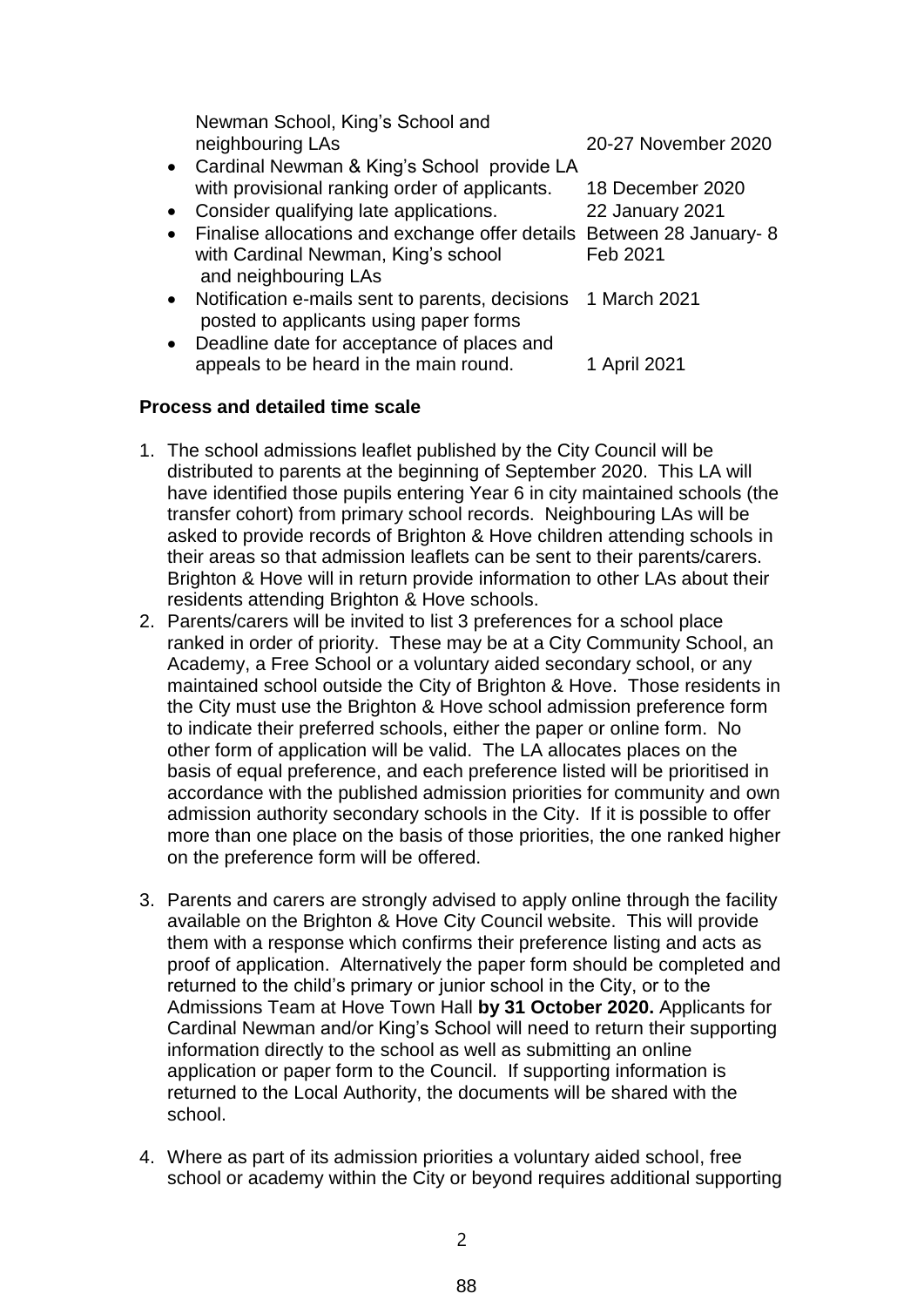|           | Newman School, King's School and                                                          |                        |
|-----------|-------------------------------------------------------------------------------------------|------------------------|
|           | neighbouring LAs                                                                          | 20-27 November 2020    |
|           | • Cardinal Newman & King's School provide LA                                              |                        |
|           | with provisional ranking order of applicants.                                             | 18 December 2020       |
| $\bullet$ | Consider qualifying late applications.                                                    | <b>22 January 2021</b> |
|           | • Finalise allocations and exchange offer details Between 28 January- 8                   |                        |
|           | with Cardinal Newman, King's school<br>and neighbouring LAs                               | Feb 2021               |
| $\bullet$ | Notification e-mails sent to parents, decisions<br>posted to applicants using paper forms | 1 March 2021           |
| $\bullet$ | Deadline date for acceptance of places and                                                |                        |
|           | appeals to be heard in the main round.                                                    | 1 April 2021           |

### **Process and detailed time scale**

- 1. The school admissions leaflet published by the City Council will be distributed to parents at the beginning of September 2020. This LA will have identified those pupils entering Year 6 in city maintained schools (the transfer cohort) from primary school records. Neighbouring LAs will be asked to provide records of Brighton & Hove children attending schools in their areas so that admission leaflets can be sent to their parents/carers. Brighton & Hove will in return provide information to other LAs about their residents attending Brighton & Hove schools.
- 2. Parents/carers will be invited to list 3 preferences for a school place ranked in order of priority. These may be at a City Community School, an Academy, a Free School or a voluntary aided secondary school, or any maintained school outside the City of Brighton & Hove. Those residents in the City must use the Brighton & Hove school admission preference form to indicate their preferred schools, either the paper or online form. No other form of application will be valid. The LA allocates places on the basis of equal preference, and each preference listed will be prioritised in accordance with the published admission priorities for community and own admission authority secondary schools in the City. If it is possible to offer more than one place on the basis of those priorities, the one ranked higher on the preference form will be offered.
- 3. Parents and carers are strongly advised to apply online through the facility available on the Brighton & Hove City Council website. This will provide them with a response which confirms their preference listing and acts as proof of application. Alternatively the paper form should be completed and returned to the child's primary or junior school in the City, or to the Admissions Team at Hove Town Hall **by 31 October 2020.** Applicants for Cardinal Newman and/or King's School will need to return their supporting information directly to the school as well as submitting an online application or paper form to the Council. If supporting information is returned to the Local Authority, the documents will be shared with the school.
- 4. Where as part of its admission priorities a voluntary aided school, free school or academy within the City or beyond requires additional supporting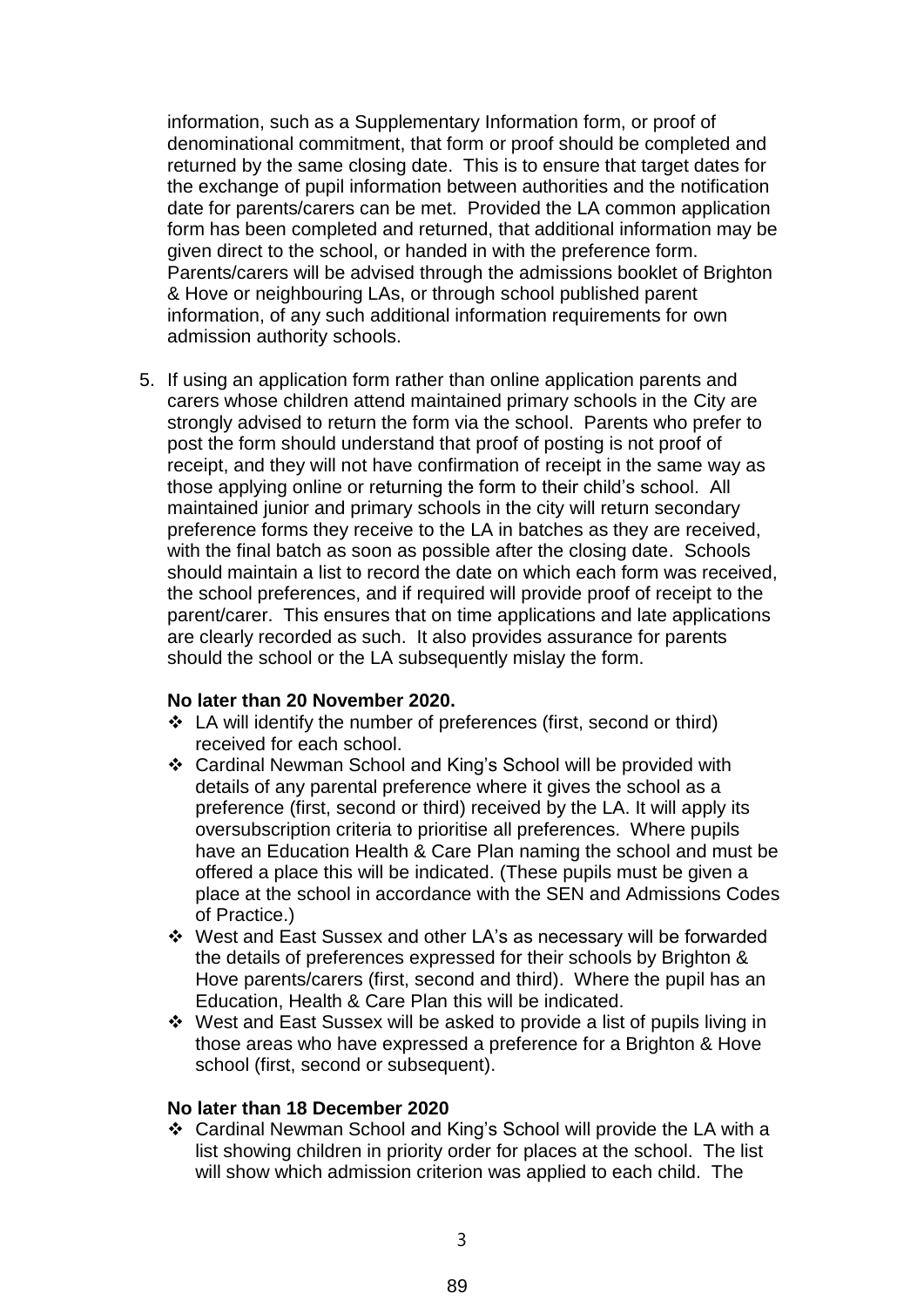information, such as a Supplementary Information form, or proof of denominational commitment, that form or proof should be completed and returned by the same closing date. This is to ensure that target dates for the exchange of pupil information between authorities and the notification date for parents/carers can be met. Provided the LA common application form has been completed and returned, that additional information may be given direct to the school, or handed in with the preference form. Parents/carers will be advised through the admissions booklet of Brighton & Hove or neighbouring LAs, or through school published parent information, of any such additional information requirements for own admission authority schools.

5. If using an application form rather than online application parents and carers whose children attend maintained primary schools in the City are strongly advised to return the form via the school. Parents who prefer to post the form should understand that proof of posting is not proof of receipt, and they will not have confirmation of receipt in the same way as those applying online or returning the form to their child's school. All maintained junior and primary schools in the city will return secondary preference forms they receive to the LA in batches as they are received, with the final batch as soon as possible after the closing date. Schools should maintain a list to record the date on which each form was received, the school preferences, and if required will provide proof of receipt to the parent/carer. This ensures that on time applications and late applications are clearly recorded as such. It also provides assurance for parents should the school or the LA subsequently mislay the form.

#### **No later than 20 November 2020.**

- LA will identify the number of preferences (first, second or third) received for each school.
- Cardinal Newman School and King's School will be provided with details of any parental preference where it gives the school as a preference (first, second or third) received by the LA. It will apply its oversubscription criteria to prioritise all preferences. Where pupils have an Education Health & Care Plan naming the school and must be offered a place this will be indicated. (These pupils must be given a place at the school in accordance with the SEN and Admissions Codes of Practice.)
- West and East Sussex and other LA's as necessary will be forwarded the details of preferences expressed for their schools by Brighton & Hove parents/carers (first, second and third). Where the pupil has an Education, Health & Care Plan this will be indicated.
- West and East Sussex will be asked to provide a list of pupils living in those areas who have expressed a preference for a Brighton & Hove school (first, second or subsequent).

#### **No later than 18 December 2020**

 Cardinal Newman School and King's School will provide the LA with a list showing children in priority order for places at the school. The list will show which admission criterion was applied to each child. The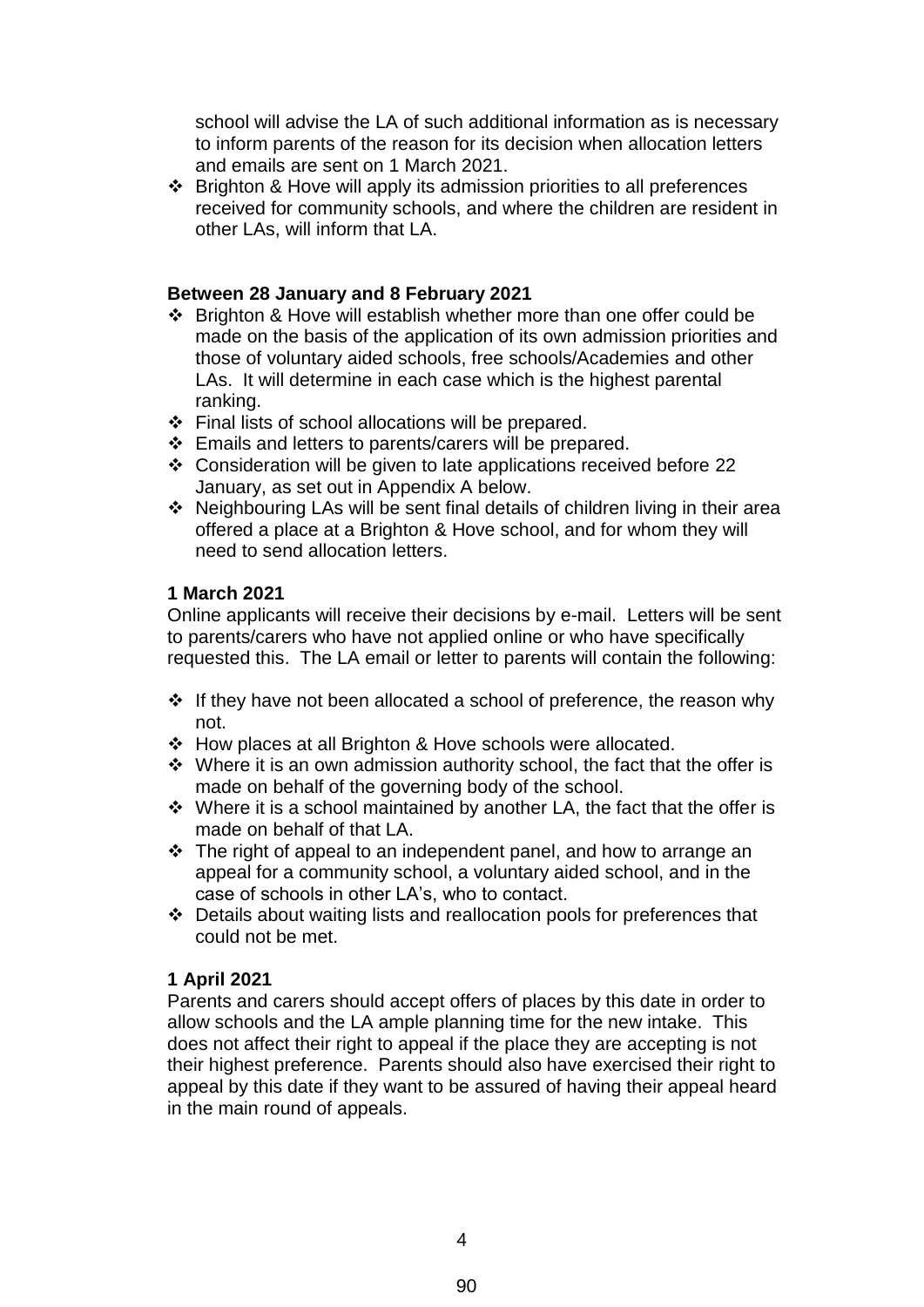school will advise the LA of such additional information as is necessary to inform parents of the reason for its decision when allocation letters and emails are sent on 1 March 2021.

 Brighton & Hove will apply its admission priorities to all preferences received for community schools, and where the children are resident in other LAs, will inform that LA.

### **Between 28 January and 8 February 2021**

- Brighton & Hove will establish whether more than one offer could be made on the basis of the application of its own admission priorities and those of voluntary aided schools, free schools/Academies and other LAs. It will determine in each case which is the highest parental ranking.
- Final lists of school allocations will be prepared.
- Emails and letters to parents/carers will be prepared.
- Consideration will be given to late applications received before 22 January, as set out in Appendix A below.
- Neighbouring LAs will be sent final details of children living in their area offered a place at a Brighton & Hove school, and for whom they will need to send allocation letters.

### **1 March 2021**

Online applicants will receive their decisions by e-mail. Letters will be sent to parents/carers who have not applied online or who have specifically requested this. The LA email or letter to parents will contain the following:

- $\cdot$  If they have not been allocated a school of preference, the reason why not.
- How places at all Brighton & Hove schools were allocated.
- $\cdot$  Where it is an own admission authority school, the fact that the offer is made on behalf of the governing body of the school.
- $\cdot$  Where it is a school maintained by another LA, the fact that the offer is made on behalf of that LA.
- $\cdot \cdot$  The right of appeal to an independent panel, and how to arrange an appeal for a community school, a voluntary aided school, and in the case of schools in other LA's, who to contact.
- Details about waiting lists and reallocation pools for preferences that could not be met.

## **1 April 2021**

Parents and carers should accept offers of places by this date in order to allow schools and the LA ample planning time for the new intake. This does not affect their right to appeal if the place they are accepting is not their highest preference. Parents should also have exercised their right to appeal by this date if they want to be assured of having their appeal heard in the main round of appeals.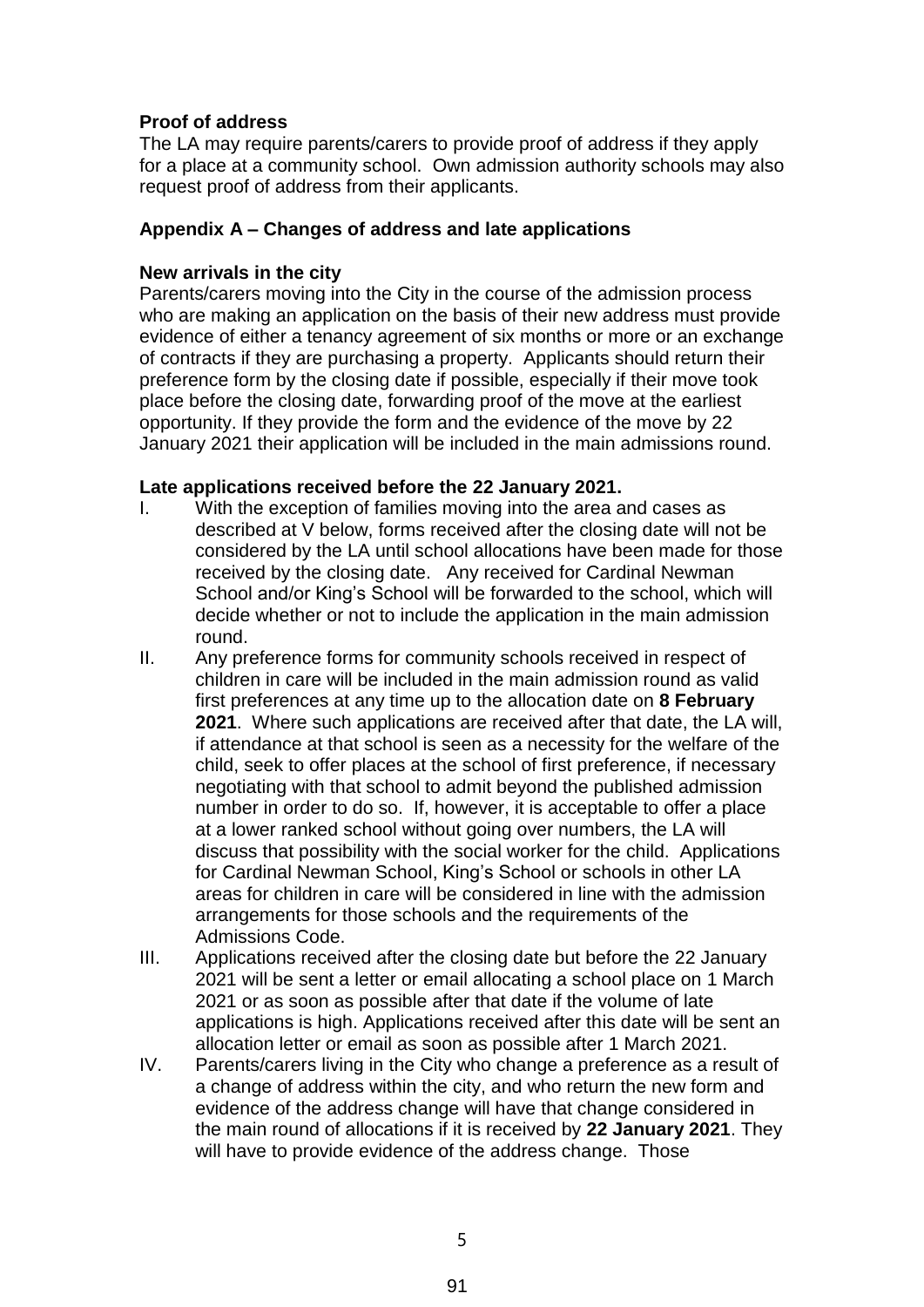# **Proof of address**

The LA may require parents/carers to provide proof of address if they apply for a place at a community school. Own admission authority schools may also request proof of address from their applicants.

## **Appendix A – Changes of address and late applications**

### **New arrivals in the city**

Parents/carers moving into the City in the course of the admission process who are making an application on the basis of their new address must provide evidence of either a tenancy agreement of six months or more or an exchange of contracts if they are purchasing a property. Applicants should return their preference form by the closing date if possible, especially if their move took place before the closing date, forwarding proof of the move at the earliest opportunity. If they provide the form and the evidence of the move by 22 January 2021 their application will be included in the main admissions round.

## **Late applications received before the 22 January 2021.**

- I. With the exception of families moving into the area and cases as described at V below, forms received after the closing date will not be considered by the LA until school allocations have been made for those received by the closing date. Any received for Cardinal Newman School and/or King's School will be forwarded to the school, which will decide whether or not to include the application in the main admission round.
- II. Any preference forms for community schools received in respect of children in care will be included in the main admission round as valid first preferences at any time up to the allocation date on **8 February 2021**. Where such applications are received after that date, the LA will, if attendance at that school is seen as a necessity for the welfare of the child, seek to offer places at the school of first preference, if necessary negotiating with that school to admit beyond the published admission number in order to do so. If, however, it is acceptable to offer a place at a lower ranked school without going over numbers, the LA will discuss that possibility with the social worker for the child. Applications for Cardinal Newman School, King's School or schools in other LA areas for children in care will be considered in line with the admission arrangements for those schools and the requirements of the Admissions Code.
- III. Applications received after the closing date but before the 22 January 2021 will be sent a letter or email allocating a school place on 1 March 2021 or as soon as possible after that date if the volume of late applications is high. Applications received after this date will be sent an allocation letter or email as soon as possible after 1 March 2021.
- IV. Parents/carers living in the City who change a preference as a result of a change of address within the city, and who return the new form and evidence of the address change will have that change considered in the main round of allocations if it is received by **22 January 2021**. They will have to provide evidence of the address change. Those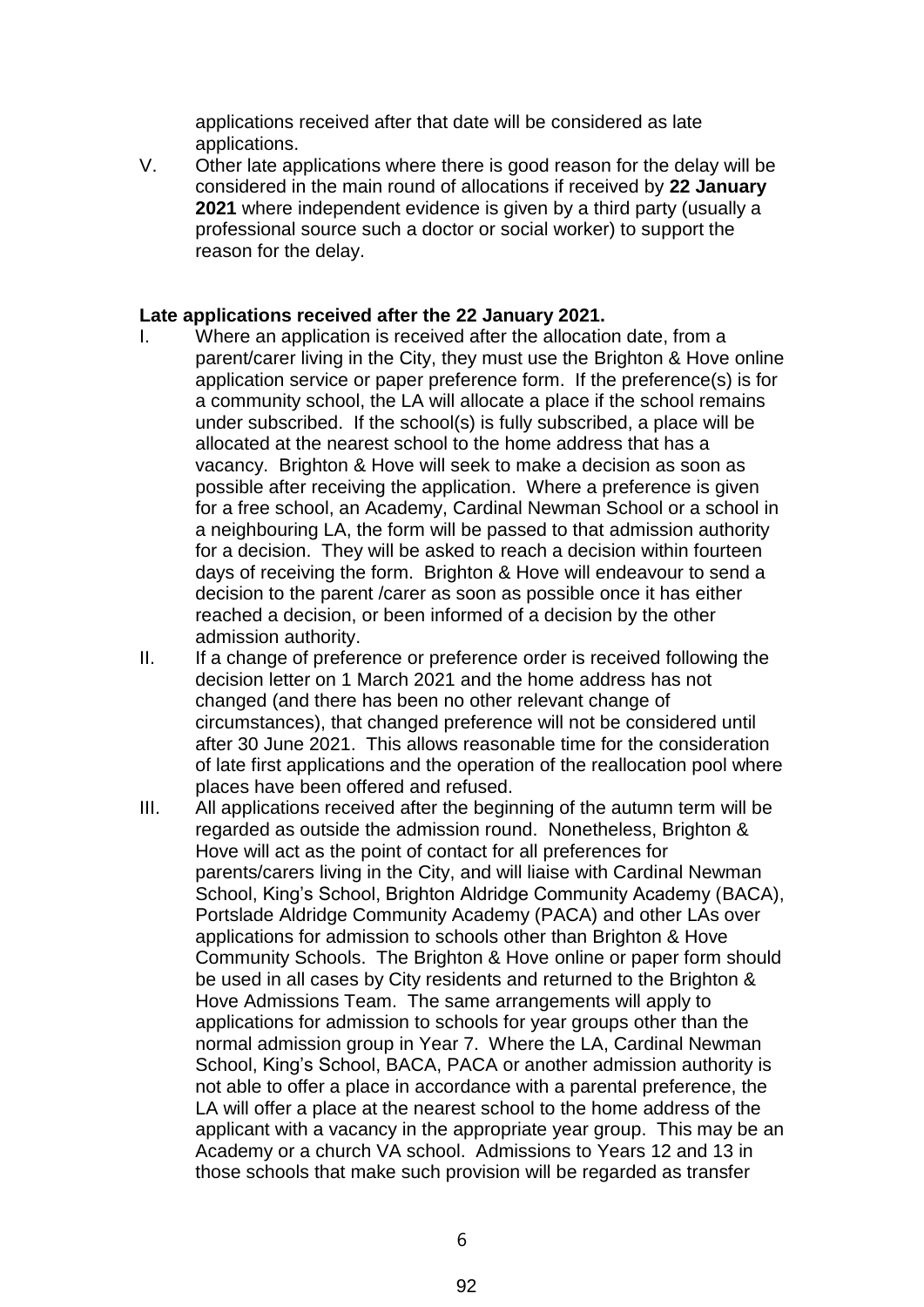applications received after that date will be considered as late applications.

V. Other late applications where there is good reason for the delay will be considered in the main round of allocations if received by **22 January 2021** where independent evidence is given by a third party (usually a professional source such a doctor or social worker) to support the reason for the delay.

#### **Late applications received after the 22 January 2021.**

- I. Where an application is received after the allocation date, from a parent/carer living in the City, they must use the Brighton & Hove online application service or paper preference form. If the preference(s) is for a community school, the LA will allocate a place if the school remains under subscribed. If the school(s) is fully subscribed, a place will be allocated at the nearest school to the home address that has a vacancy. Brighton & Hove will seek to make a decision as soon as possible after receiving the application. Where a preference is given for a free school, an Academy, Cardinal Newman School or a school in a neighbouring LA, the form will be passed to that admission authority for a decision. They will be asked to reach a decision within fourteen days of receiving the form. Brighton & Hove will endeavour to send a decision to the parent /carer as soon as possible once it has either reached a decision, or been informed of a decision by the other admission authority.
- II. If a change of preference or preference order is received following the decision letter on 1 March 2021 and the home address has not changed (and there has been no other relevant change of circumstances), that changed preference will not be considered until after 30 June 2021. This allows reasonable time for the consideration of late first applications and the operation of the reallocation pool where places have been offered and refused.
- III. All applications received after the beginning of the autumn term will be regarded as outside the admission round. Nonetheless, Brighton & Hove will act as the point of contact for all preferences for parents/carers living in the City, and will liaise with Cardinal Newman School, King's School, Brighton Aldridge Community Academy (BACA), Portslade Aldridge Community Academy (PACA) and other LAs over applications for admission to schools other than Brighton & Hove Community Schools. The Brighton & Hove online or paper form should be used in all cases by City residents and returned to the Brighton & Hove Admissions Team. The same arrangements will apply to applications for admission to schools for year groups other than the normal admission group in Year 7. Where the LA, Cardinal Newman School, King's School, BACA, PACA or another admission authority is not able to offer a place in accordance with a parental preference, the LA will offer a place at the nearest school to the home address of the applicant with a vacancy in the appropriate year group. This may be an Academy or a church VA school. Admissions to Years 12 and 13 in those schools that make such provision will be regarded as transfer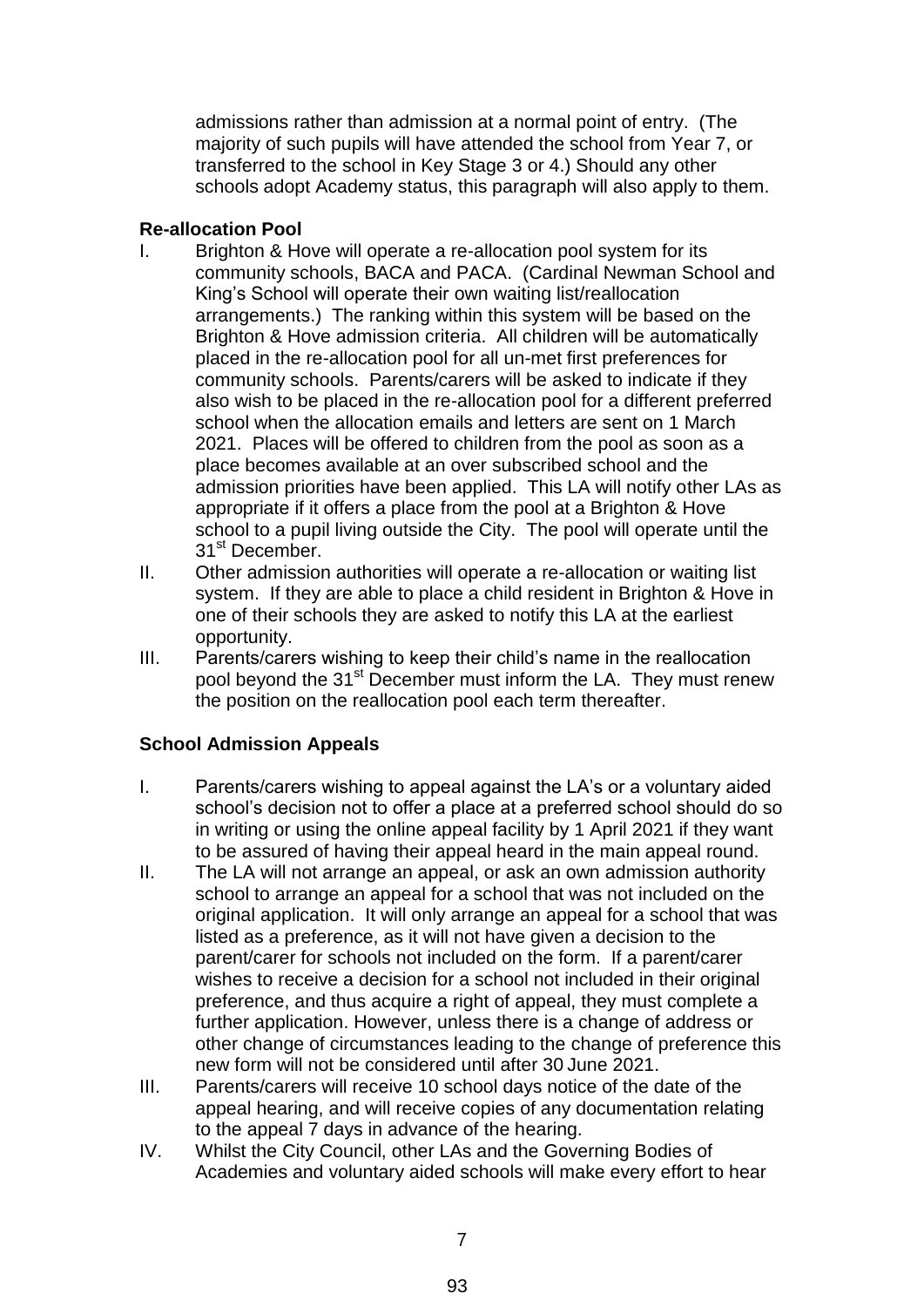admissions rather than admission at a normal point of entry. (The majority of such pupils will have attended the school from Year 7, or transferred to the school in Key Stage 3 or 4.) Should any other schools adopt Academy status, this paragraph will also apply to them.

## **Re-allocation Pool**

- I. Brighton & Hove will operate a re-allocation pool system for its community schools, BACA and PACA. (Cardinal Newman School and King's School will operate their own waiting list/reallocation arrangements.) The ranking within this system will be based on the Brighton & Hove admission criteria. All children will be automatically placed in the re-allocation pool for all un-met first preferences for community schools. Parents/carers will be asked to indicate if they also wish to be placed in the re-allocation pool for a different preferred school when the allocation emails and letters are sent on 1 March 2021. Places will be offered to children from the pool as soon as a place becomes available at an over subscribed school and the admission priorities have been applied. This LA will notify other LAs as appropriate if it offers a place from the pool at a Brighton & Hove school to a pupil living outside the City. The pool will operate until the 31<sup>st</sup> December.
- II. Other admission authorities will operate a re-allocation or waiting list system. If they are able to place a child resident in Brighton & Hove in one of their schools they are asked to notify this LA at the earliest opportunity.
- III. Parents/carers wishing to keep their child's name in the reallocation pool beyond the 31<sup>st</sup> December must inform the LA. They must renew the position on the reallocation pool each term thereafter.

## **School Admission Appeals**

- I. Parents/carers wishing to appeal against the LA's or a voluntary aided school's decision not to offer a place at a preferred school should do so in writing or using the online appeal facility by 1 April 2021 if they want to be assured of having their appeal heard in the main appeal round.
- II. The LA will not arrange an appeal, or ask an own admission authority school to arrange an appeal for a school that was not included on the original application. It will only arrange an appeal for a school that was listed as a preference, as it will not have given a decision to the parent/carer for schools not included on the form. If a parent/carer wishes to receive a decision for a school not included in their original preference, and thus acquire a right of appeal, they must complete a further application. However, unless there is a change of address or other change of circumstances leading to the change of preference this new form will not be considered until after 30 June 2021.
- III. Parents/carers will receive 10 school days notice of the date of the appeal hearing, and will receive copies of any documentation relating to the appeal 7 days in advance of the hearing.
- IV. Whilst the City Council, other LAs and the Governing Bodies of Academies and voluntary aided schools will make every effort to hear